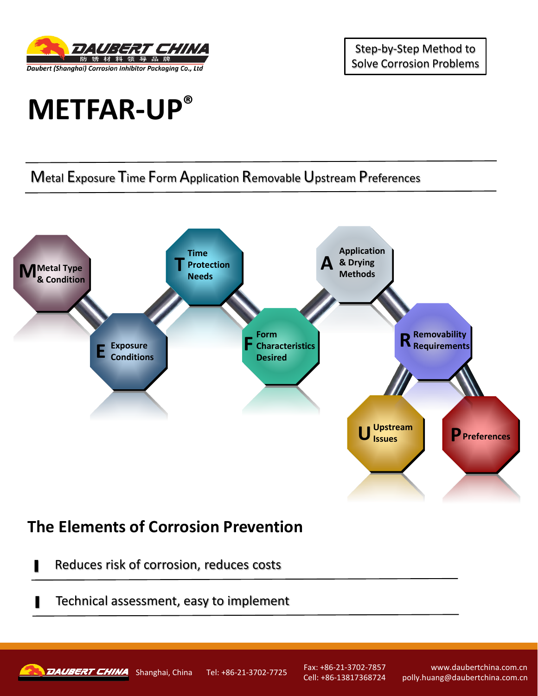

Step-by-Step Method to Solve Corrosion Problems

## **METFAR-UP®**

## Metal Exposure Time Form Application Removable Upstream Preferences



## **The Elements of Corrosion Prevention**

- Reduces risk of corrosion, reduces costs
- Technical assessment, easy to implement



Shanghai, China Tel: +86-21-3702-7725 Fax: +86-21-3702-7857

Cell: +86-13817368724

www.daubertchina.com.cn polly.huang@daubertchina.com.cn